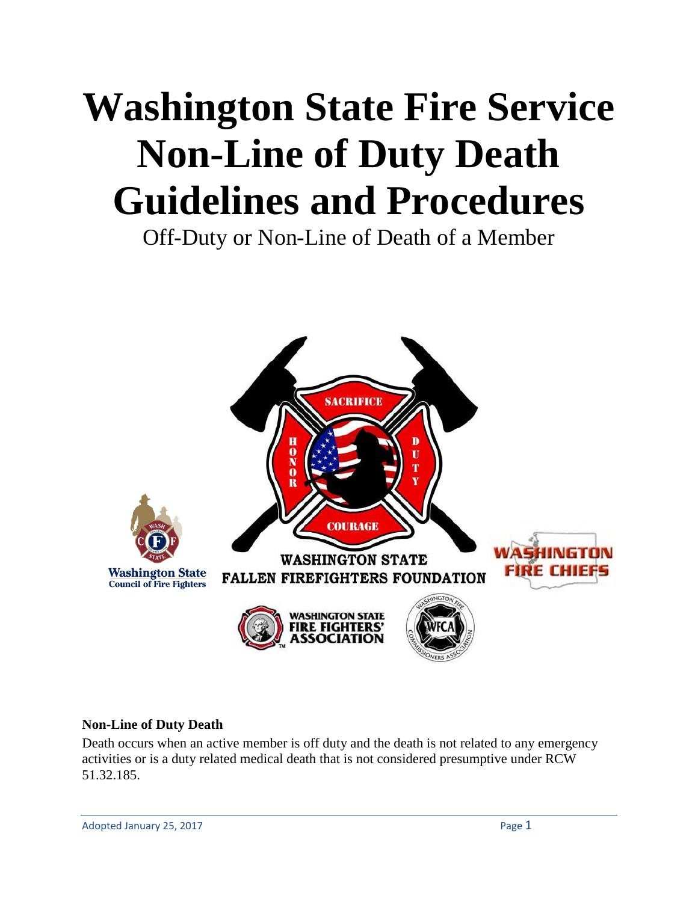# **Washington State Fire Service Non-Line of Duty Death Guidelines and Procedures**

Off-Duty or Non-Line of Death of a Member



#### **Non-Line of Duty Death**

Death occurs when an active member is off duty and the death is not related to any emergency activities or is a duty related medical death that is not considered presumptive under RCW 51.32.185.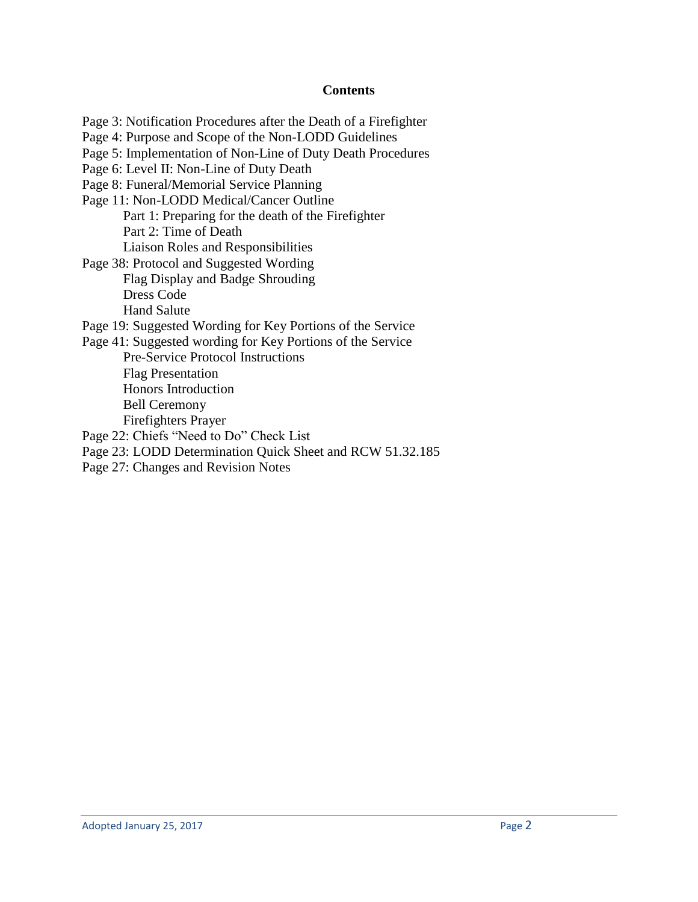#### **Contents**

Page 3: Notification Procedures after the Death of a Firefighter Page 4: Purpose and Scope of the Non-LODD Guidelines Page 5: Implementation of Non-Line of Duty Death Procedures Page 6: Level II: Non-Line of Duty Death Page 8: Funeral/Memorial Service Planning Page 11: Non-LODD Medical/Cancer Outline Part 1: Preparing for the death of the Firefighter Part 2: Time of Death Liaison Roles and Responsibilities Page 38: Protocol and Suggested Wording Flag Display and Badge Shrouding Dress Code Hand Salute Page 19: Suggested Wording for Key Portions of the Service Page 41: Suggested wording for Key Portions of the Service Pre-Service Protocol Instructions Flag Presentation Honors Introduction Bell Ceremony Firefighters Prayer Page 22: Chiefs "Need to Do" Check List Page 23: LODD Determination Quick Sheet and RCW 51.32.185 Page 27: Changes and Revision Notes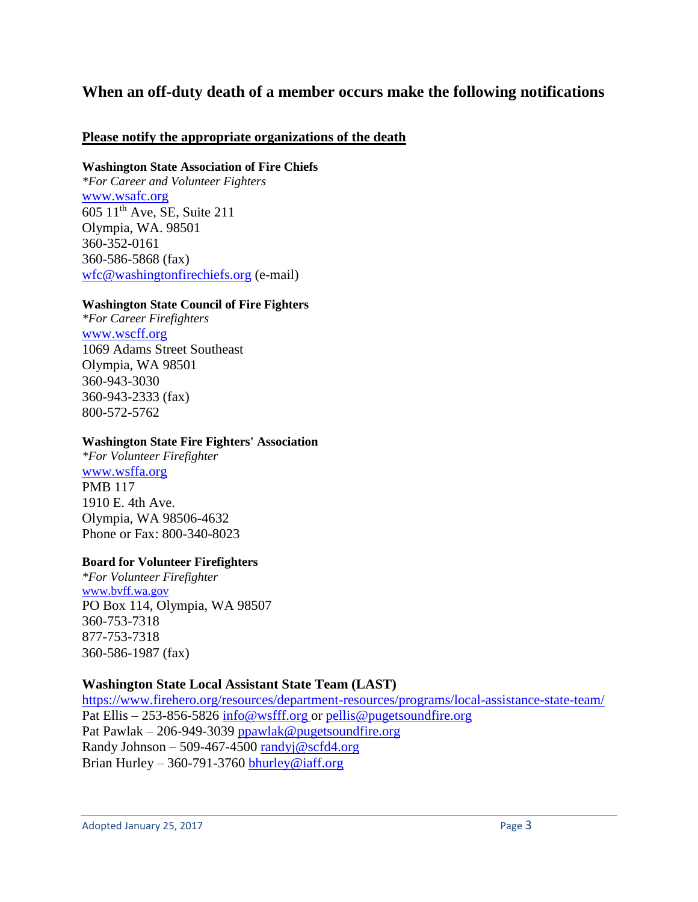# **When an off-duty death of a member occurs make the following notifications**

#### **Please notify the appropriate organizations of the death**

#### **Washington State Association of Fire Chiefs**

*\*For Career and Volunteer Fighters*  [www.wsafc.org](http://www.wsafc.org/) 605 11th Ave, SE, Suite 211 Olympia, WA. 98501 360-352-0161 360-586-5868 (fax) [wfc@washingtonfirechiefs.org](mailto:wfc@washingtonfirechiefs.org) (e-mail)

#### **Washington State Council of Fire Fighters**

*\*For Career Firefighters* [www.wscff.org](http://www.wscff.org/) 1069 Adams Street Southeast Olympia, WA 98501 360-943-3030 360-943-2333 (fax) 800-572-5762

#### **Washington State Fire Fighters' Association**

*\*For Volunteer Firefighter* [www.wsffa.org](http://www.wsffa.org/) PMB 117 1910 E. 4th Ave. Olympia, WA 98506-4632 Phone or Fax: 800-340-8023

#### **Board for Volunteer Firefighters**

*\*For Volunteer Firefighter* [www.bvff.wa.gov](http://www.bvff.wa.gov/) PO Box 114, Olympia, WA 98507 360-753-7318 877-753-7318 360-586-1987 (fax)

#### **Washington State Local Assistant State Team (LAST)**

<https://www.firehero.org/resources/department-resources/programs/local-assistance-state-team/> Pat Ellis – 253-856-5826 [info@wsfff.org](mailto:info@wsfff.org) or [pellis@pugetsoundfire.org](mailto:pellis@pugetsoundfire.org) Pat Pawlak – 206-949-3039 ppawlak@pugetsoundfire.org Randy Johnson – 509-467-4500 [randyj@scfd4.org](mailto:randyj@scfd4.org) Brian Hurley – 360-791-3760 [bhurley@iaff.org](mailto:bhurley@iaff.org)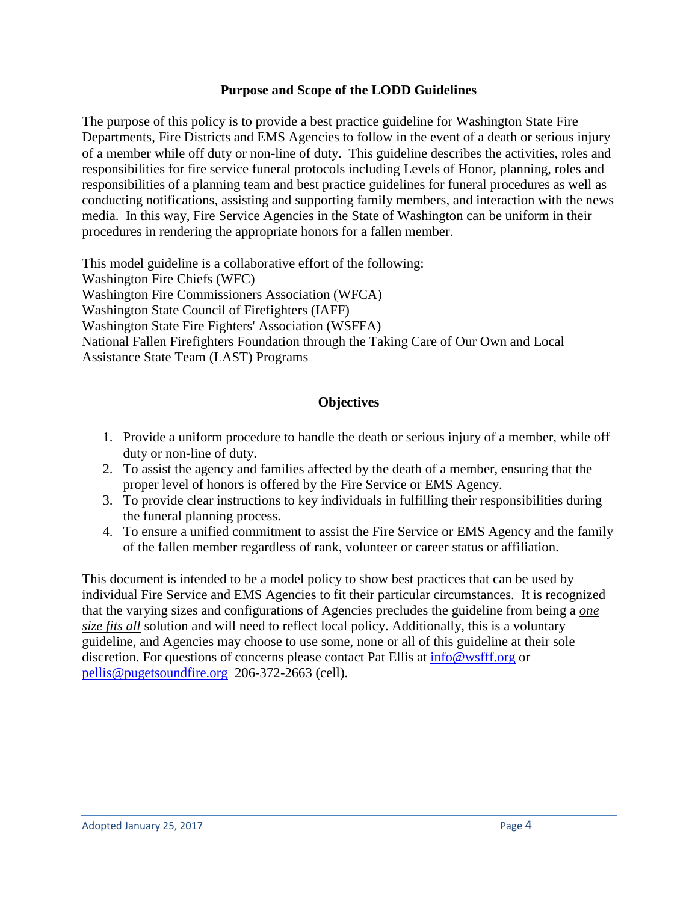#### **Purpose and Scope of the LODD Guidelines**

The purpose of this policy is to provide a best practice guideline for Washington State Fire Departments, Fire Districts and EMS Agencies to follow in the event of a death or serious injury of a member while off duty or non-line of duty. This guideline describes the activities, roles and responsibilities for fire service funeral protocols including Levels of Honor, planning, roles and responsibilities of a planning team and best practice guidelines for funeral procedures as well as conducting notifications, assisting and supporting family members, and interaction with the news media. In this way, Fire Service Agencies in the State of Washington can be uniform in their procedures in rendering the appropriate honors for a fallen member.

This model guideline is a collaborative effort of the following: Washington Fire Chiefs (WFC) Washington Fire Commissioners Association (WFCA) Washington State Council of Firefighters (IAFF) Washington State Fire Fighters' Association (WSFFA) National Fallen Firefighters Foundation through the Taking Care of Our Own and Local Assistance State Team (LAST) Programs

#### **Objectives**

- 1. Provide a uniform procedure to handle the death or serious injury of a member, while off duty or non-line of duty.
- 2. To assist the agency and families affected by the death of a member, ensuring that the proper level of honors is offered by the Fire Service or EMS Agency.
- 3. To provide clear instructions to key individuals in fulfilling their responsibilities during the funeral planning process.
- 4. To ensure a unified commitment to assist the Fire Service or EMS Agency and the family of the fallen member regardless of rank, volunteer or career status or affiliation.

This document is intended to be a model policy to show best practices that can be used by individual Fire Service and EMS Agencies to fit their particular circumstances. It is recognized that the varying sizes and configurations of Agencies precludes the guideline from being a *one size fits all* solution and will need to reflect local policy. Additionally, this is a voluntary guideline, and Agencies may choose to use some, none or all of this guideline at their sole discretion. For questions of concerns please contact Pat Ellis at  $\frac{info@wstff.org}{info@wstff.org}$  or [pellis@pugetsoundfire.org](mailto:pellis@pugetsoundfire.org) 206-372-2663 (cell).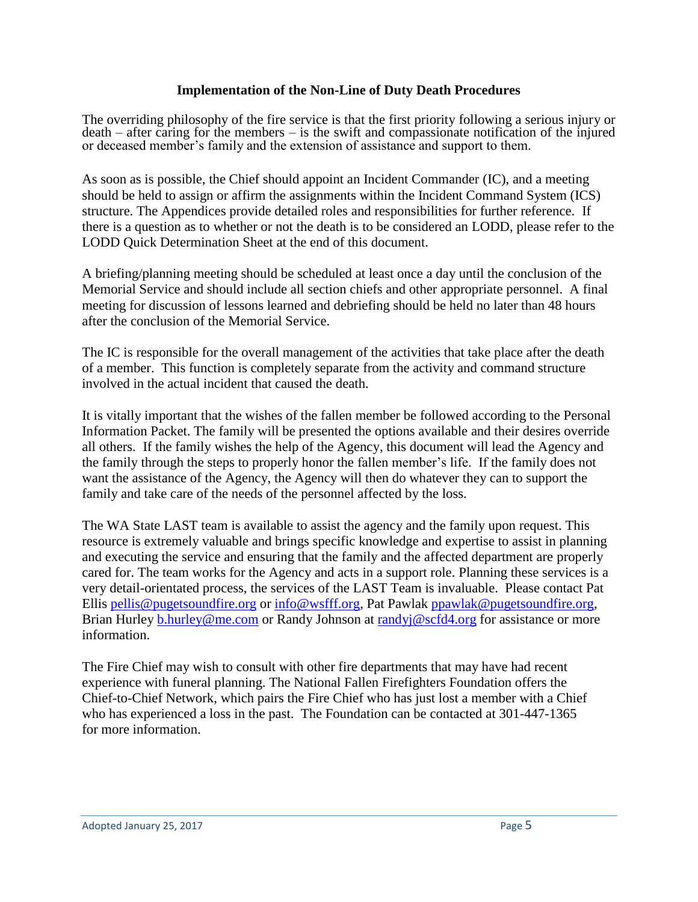#### **Implementation of the Non-Line of Duty Death Procedures**

The overriding philosophy of the fire service is that the first priority following a serious injury or death – after caring for the members – is the swift and compassionate notification of the injured or deceased member's family and the extension of assistance and support to them.

As soon as is possible, the Chief should appoint an Incident Commander (IC), and a meeting should be held to assign or affirm the assignments within the Incident Command System (ICS) structure. The Appendices provide detailed roles and responsibilities for further reference. If there is a question as to whether or not the death is to be considered an LODD, please refer to the LODD Quick Determination Sheet at the end of this document.

A briefing/planning meeting should be scheduled at least once a day until the conclusion of the Memorial Service and should include all section chiefs and other appropriate personnel. A final meeting for discussion of lessons learned and debriefing should be held no later than 48 hours after the conclusion of the Memorial Service.

The IC is responsible for the overall management of the activities that take place after the death of a member. This function is completely separate from the activity and command structure involved in the actual incident that caused the death.

It is vitally important that the wishes of the fallen member be followed according to the Personal Information Packet. The family will be presented the options available and their desires override all others. If the family wishes the help of the Agency, this document will lead the Agency and the family through the steps to properly honor the fallen member's life. If the family does not want the assistance of the Agency, the Agency will then do whatever they can to support the family and take care of the needs of the personnel affected by the loss.

The WA State LAST team is available to assist the agency and the family upon request. This resource is extremely valuable and brings specific knowledge and expertise to assist in planning and executing the service and ensuring that the family and the affected department are properly cared for. The team works for the Agency and acts in a support role. Planning these services is a very detail-orientated process, the services of the LAST Team is invaluable. Please contact Pat Ellis [pellis@pugetsoundfire.org](mailto:pellis@pugetsoundfire.org) or [info@wsfff.org,](mailto:info@wsfff.org) Pat Pawlak [ppawlak@pugetsoundfire.org,](mailto:ppawlak@pugetsoundfire.org) Brian Hurley [b.hurley@me.com](mailto:b.hurley@me.com) or Randy Johnson at [randyj@scfd4.org](mailto:randyj@scfd4.org) for assistance or more information.

The Fire Chief may wish to consult with other fire departments that may have had recent experience with funeral planning. The National Fallen Firefighters Foundation offers the Chief-to-Chief Network, which pairs the Fire Chief who has just lost a member with a Chief who has experienced a loss in the past. The Foundation can be contacted at 301-447-1365 for more information.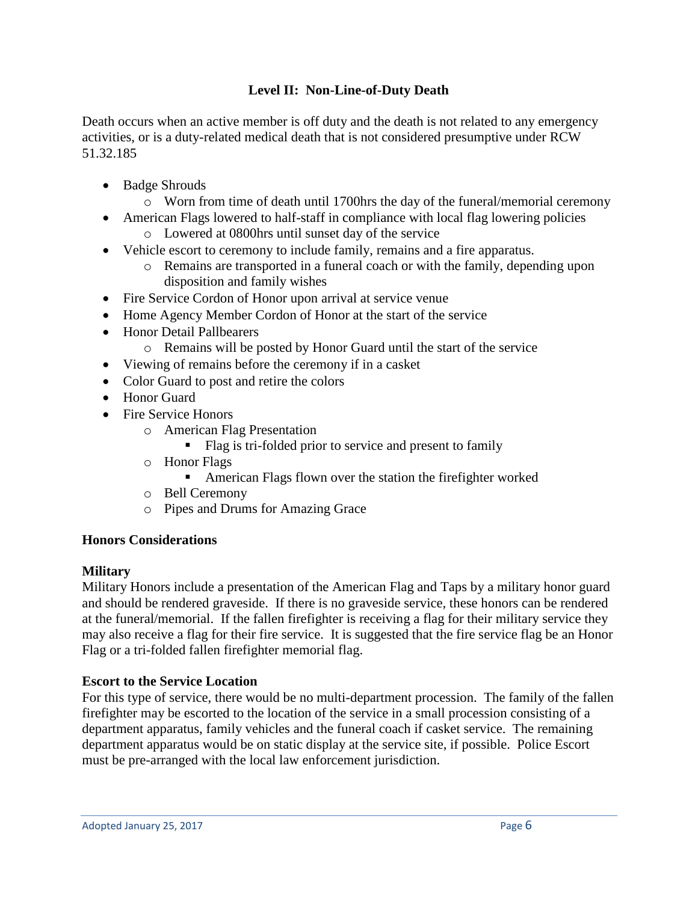# **Level II: Non-Line-of-Duty Death**

Death occurs when an active member is off duty and the death is not related to any emergency activities, or is a duty-related medical death that is not considered presumptive under RCW 51.32.185

- Badge Shrouds
	- o Worn from time of death until 1700hrs the day of the funeral/memorial ceremony
- American Flags lowered to half-staff in compliance with local flag lowering policies
	- o Lowered at 0800hrs until sunset day of the service
- Vehicle escort to ceremony to include family, remains and a fire apparatus.
	- o Remains are transported in a funeral coach or with the family, depending upon disposition and family wishes
- Fire Service Cordon of Honor upon arrival at service venue
- Home Agency Member Cordon of Honor at the start of the service
- Honor Detail Pallbearers
	- o Remains will be posted by Honor Guard until the start of the service
- Viewing of remains before the ceremony if in a casket
- Color Guard to post and retire the colors
- Honor Guard
- Fire Service Honors
	- o American Flag Presentation
		- Flag is tri-folded prior to service and present to family
	- o Honor Flags
		- American Flags flown over the station the firefighter worked
	- o Bell Ceremony
	- o Pipes and Drums for Amazing Grace

#### **Honors Considerations**

#### **Military**

Military Honors include a presentation of the American Flag and Taps by a military honor guard and should be rendered graveside. If there is no graveside service, these honors can be rendered at the funeral/memorial. If the fallen firefighter is receiving a flag for their military service they may also receive a flag for their fire service. It is suggested that the fire service flag be an Honor Flag or a tri-folded fallen firefighter memorial flag.

#### **Escort to the Service Location**

For this type of service, there would be no multi-department procession. The family of the fallen firefighter may be escorted to the location of the service in a small procession consisting of a department apparatus, family vehicles and the funeral coach if casket service. The remaining department apparatus would be on static display at the service site, if possible. Police Escort must be pre-arranged with the local law enforcement jurisdiction.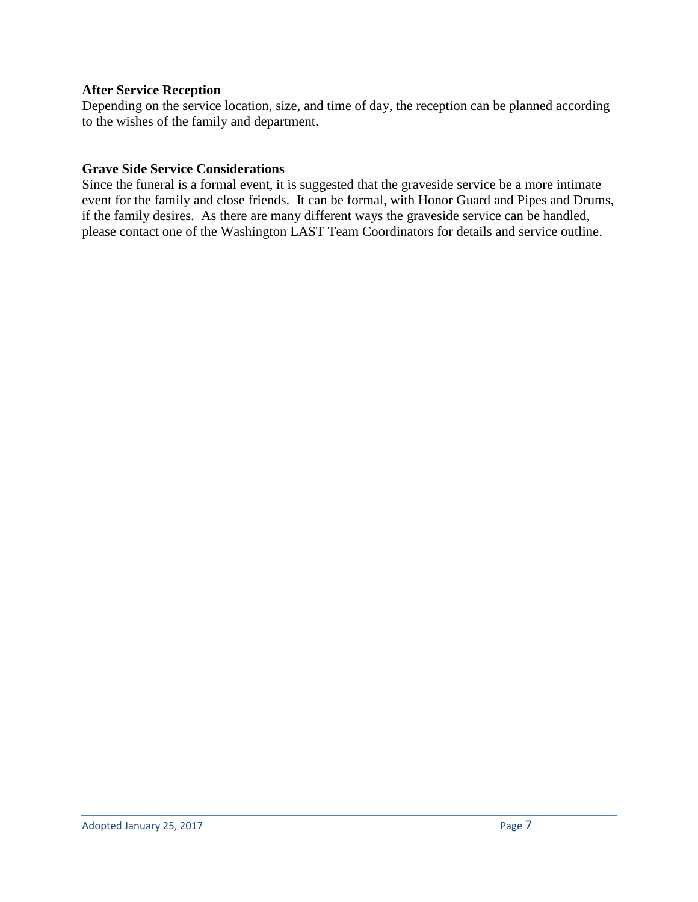#### **After Service Reception**

Depending on the service location, size, and time of day, the reception can be planned according to the wishes of the family and department.

#### **Grave Side Service Considerations**

Since the funeral is a formal event, it is suggested that the graveside service be a more intimate event for the family and close friends. It can be formal, with Honor Guard and Pipes and Drums, if the family desires. As there are many different ways the graveside service can be handled, please contact one of the Washington LAST Team Coordinators for details and service outline.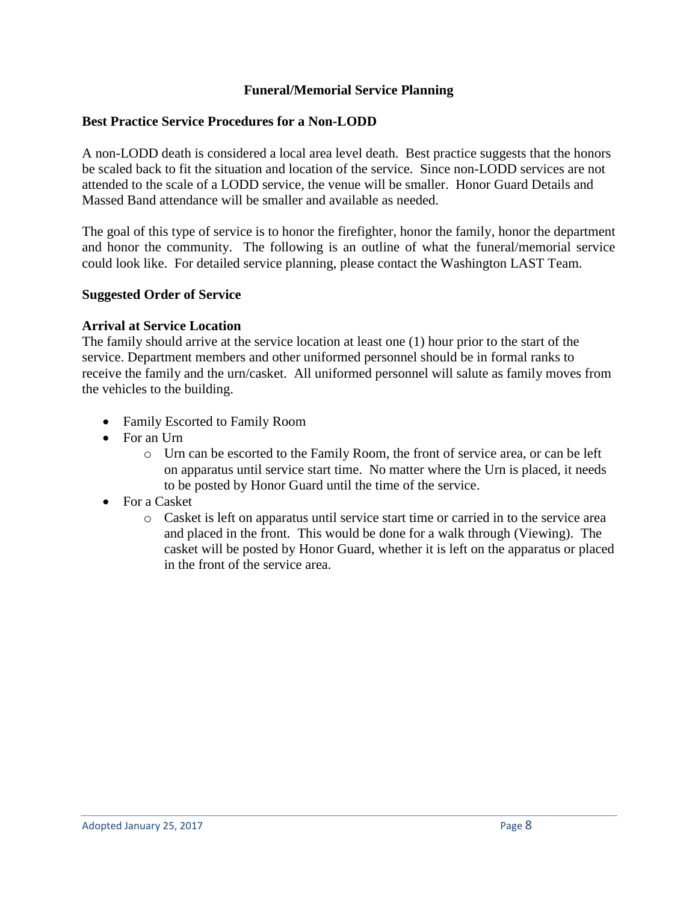#### **Funeral/Memorial Service Planning**

#### **Best Practice Service Procedures for a Non-LODD**

A non-LODD death is considered a local area level death. Best practice suggests that the honors be scaled back to fit the situation and location of the service. Since non-LODD services are not attended to the scale of a LODD service, the venue will be smaller. Honor Guard Details and Massed Band attendance will be smaller and available as needed.

The goal of this type of service is to honor the firefighter, honor the family, honor the department and honor the community. The following is an outline of what the funeral/memorial service could look like. For detailed service planning, please contact the Washington LAST Team.

#### **Suggested Order of Service**

#### **Arrival at Service Location**

The family should arrive at the service location at least one (1) hour prior to the start of the service. Department members and other uniformed personnel should be in formal ranks to receive the family and the urn/casket. All uniformed personnel will salute as family moves from the vehicles to the building.

- Family Escorted to Family Room
- For an Urn
	- o Urn can be escorted to the Family Room, the front of service area, or can be left on apparatus until service start time. No matter where the Urn is placed, it needs to be posted by Honor Guard until the time of the service.
- For a Casket
	- o Casket is left on apparatus until service start time or carried in to the service area and placed in the front. This would be done for a walk through (Viewing). The casket will be posted by Honor Guard, whether it is left on the apparatus or placed in the front of the service area.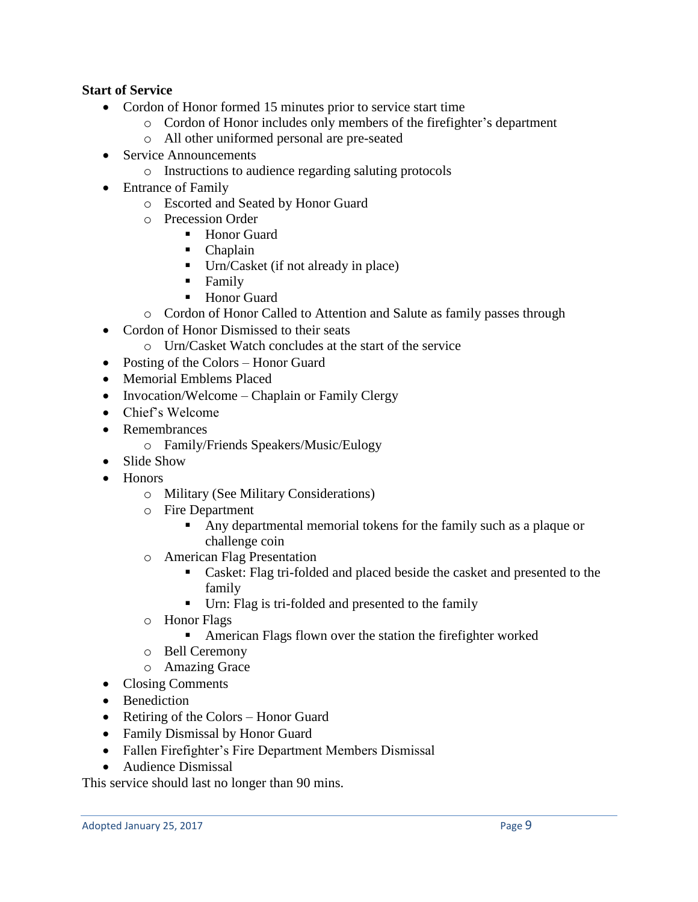## **Start of Service**

- Cordon of Honor formed 15 minutes prior to service start time
	- o Cordon of Honor includes only members of the firefighter's department
	- o All other uniformed personal are pre-seated
- Service Announcements
	- o Instructions to audience regarding saluting protocols
- Entrance of Family
	- o Escorted and Seated by Honor Guard
	- o Precession Order
		- Honor Guard
		- Chaplain
		- Urn/Casket (if not already in place)
		- **Family**
		- Honor Guard
	- o Cordon of Honor Called to Attention and Salute as family passes through
- Cordon of Honor Dismissed to their seats
	- o Urn/Casket Watch concludes at the start of the service
- Posting of the Colors Honor Guard
- Memorial Emblems Placed
- Invocation/Welcome Chaplain or Family Clergy
- Chief's Welcome
- Remembrances
	- o Family/Friends Speakers/Music/Eulogy
- Slide Show
- Honors
	- o Military (See Military Considerations)
	- o Fire Department
		- Any departmental memorial tokens for the family such as a plaque or challenge coin
	- o American Flag Presentation
		- Casket: Flag tri-folded and placed beside the casket and presented to the family
		- Urn: Flag is tri-folded and presented to the family
	- o Honor Flags
		- American Flags flown over the station the firefighter worked
	- o Bell Ceremony
	- o Amazing Grace
- Closing Comments
- Benediction
- Retiring of the Colors Honor Guard
- Family Dismissal by Honor Guard
- Fallen Firefighter's Fire Department Members Dismissal
- Audience Dismissal

This service should last no longer than 90 mins.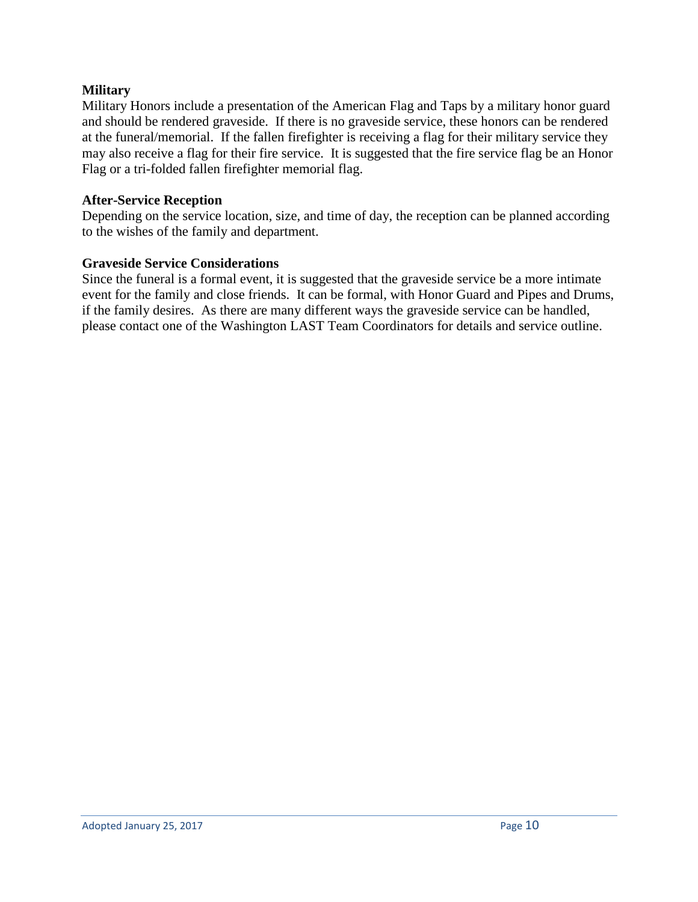## **Military**

Military Honors include a presentation of the American Flag and Taps by a military honor guard and should be rendered graveside. If there is no graveside service, these honors can be rendered at the funeral/memorial. If the fallen firefighter is receiving a flag for their military service they may also receive a flag for their fire service. It is suggested that the fire service flag be an Honor Flag or a tri-folded fallen firefighter memorial flag.

## **After-Service Reception**

Depending on the service location, size, and time of day, the reception can be planned according to the wishes of the family and department.

## **Graveside Service Considerations**

Since the funeral is a formal event, it is suggested that the graveside service be a more intimate event for the family and close friends. It can be formal, with Honor Guard and Pipes and Drums, if the family desires. As there are many different ways the graveside service can be handled, please contact one of the Washington LAST Team Coordinators for details and service outline.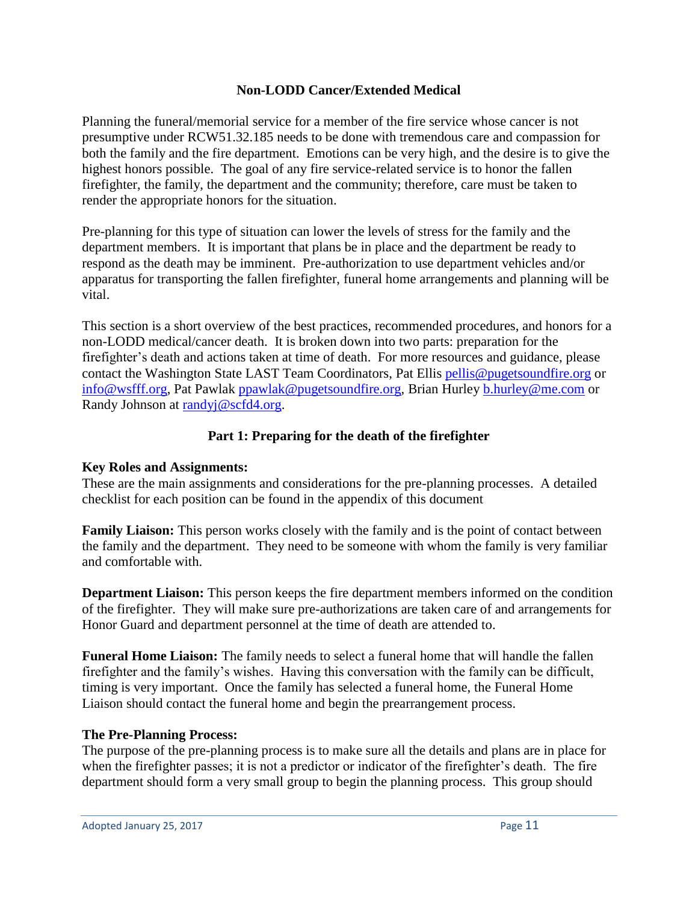## **Non-LODD Cancer/Extended Medical**

Planning the funeral/memorial service for a member of the fire service whose cancer is not presumptive under RCW51.32.185 needs to be done with tremendous care and compassion for both the family and the fire department. Emotions can be very high, and the desire is to give the highest honors possible. The goal of any fire service-related service is to honor the fallen firefighter, the family, the department and the community; therefore, care must be taken to render the appropriate honors for the situation.

Pre-planning for this type of situation can lower the levels of stress for the family and the department members. It is important that plans be in place and the department be ready to respond as the death may be imminent. Pre-authorization to use department vehicles and/or apparatus for transporting the fallen firefighter, funeral home arrangements and planning will be vital.

This section is a short overview of the best practices, recommended procedures, and honors for a non-LODD medical/cancer death. It is broken down into two parts: preparation for the firefighter's death and actions taken at time of death. For more resources and guidance, please contact the Washington State LAST Team Coordinators, Pat Ellis [pellis@pugetsoundfire.org](mailto:pellis@pugetsoundfire.org) or [info@wsfff.org,](mailto:info@wsfff.org) Pat Pawlak [ppawlak@pugetsoundfire.org,](mailto:ppawlak@pugetsoundfire.org) Brian Hurley [b.hurley@me.com](mailto:b.hurley@me.com) or Randy Johnson at [randyj@scfd4.org.](mailto:randyj@scfd4.org)

## **Part 1: Preparing for the death of the firefighter**

#### **Key Roles and Assignments:**

These are the main assignments and considerations for the pre-planning processes. A detailed checklist for each position can be found in the appendix of this document

**Family Liaison:** This person works closely with the family and is the point of contact between the family and the department. They need to be someone with whom the family is very familiar and comfortable with.

**Department Liaison:** This person keeps the fire department members informed on the condition of the firefighter. They will make sure pre-authorizations are taken care of and arrangements for Honor Guard and department personnel at the time of death are attended to.

**Funeral Home Liaison:** The family needs to select a funeral home that will handle the fallen firefighter and the family's wishes. Having this conversation with the family can be difficult, timing is very important. Once the family has selected a funeral home, the Funeral Home Liaison should contact the funeral home and begin the prearrangement process.

#### **The Pre-Planning Process:**

The purpose of the pre-planning process is to make sure all the details and plans are in place for when the firefighter passes; it is not a predictor or indicator of the firefighter's death. The fire department should form a very small group to begin the planning process. This group should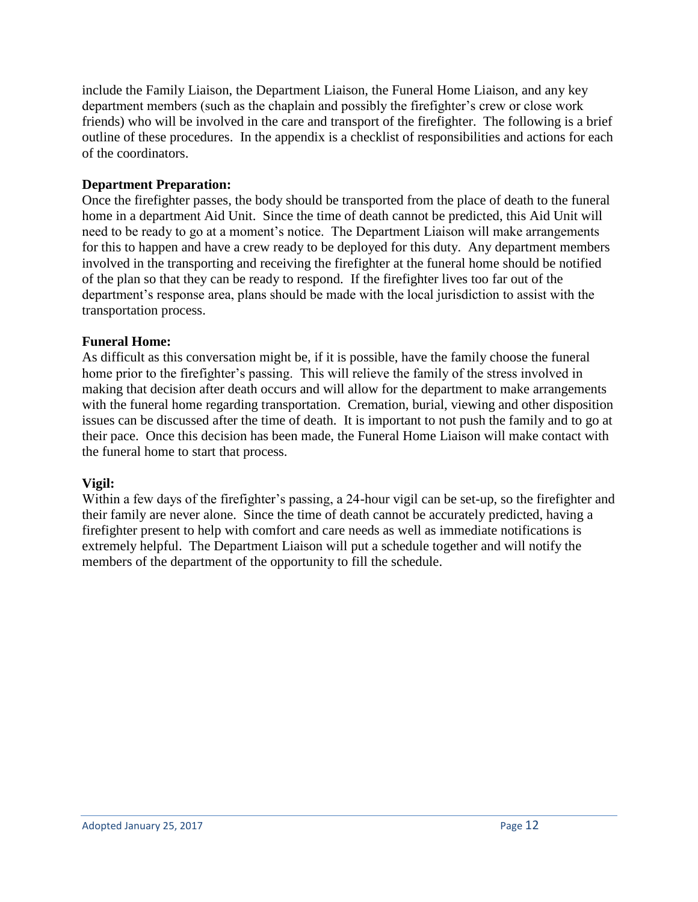include the Family Liaison, the Department Liaison, the Funeral Home Liaison, and any key department members (such as the chaplain and possibly the firefighter's crew or close work friends) who will be involved in the care and transport of the firefighter. The following is a brief outline of these procedures. In the appendix is a checklist of responsibilities and actions for each of the coordinators.

#### **Department Preparation:**

Once the firefighter passes, the body should be transported from the place of death to the funeral home in a department Aid Unit. Since the time of death cannot be predicted, this Aid Unit will need to be ready to go at a moment's notice. The Department Liaison will make arrangements for this to happen and have a crew ready to be deployed for this duty. Any department members involved in the transporting and receiving the firefighter at the funeral home should be notified of the plan so that they can be ready to respond. If the firefighter lives too far out of the department's response area, plans should be made with the local jurisdiction to assist with the transportation process.

#### **Funeral Home:**

As difficult as this conversation might be, if it is possible, have the family choose the funeral home prior to the firefighter's passing. This will relieve the family of the stress involved in making that decision after death occurs and will allow for the department to make arrangements with the funeral home regarding transportation. Cremation, burial, viewing and other disposition issues can be discussed after the time of death. It is important to not push the family and to go at their pace. Once this decision has been made, the Funeral Home Liaison will make contact with the funeral home to start that process.

#### **Vigil:**

Within a few days of the firefighter's passing, a 24-hour vigil can be set-up, so the firefighter and their family are never alone. Since the time of death cannot be accurately predicted, having a firefighter present to help with comfort and care needs as well as immediate notifications is extremely helpful. The Department Liaison will put a schedule together and will notify the members of the department of the opportunity to fill the schedule.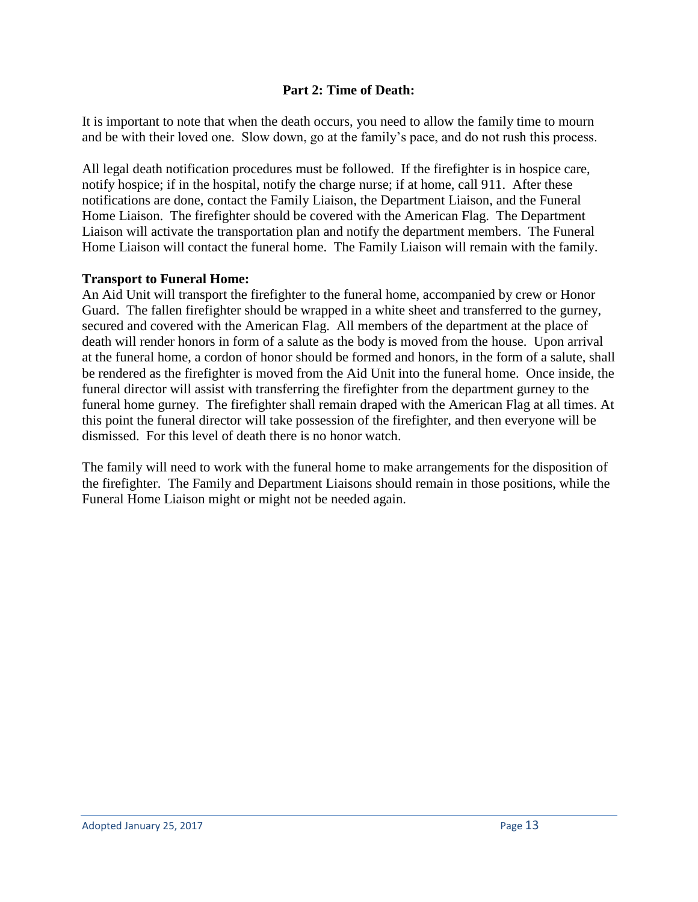## **Part 2: Time of Death:**

It is important to note that when the death occurs, you need to allow the family time to mourn and be with their loved one. Slow down, go at the family's pace, and do not rush this process.

All legal death notification procedures must be followed. If the firefighter is in hospice care, notify hospice; if in the hospital, notify the charge nurse; if at home, call 911. After these notifications are done, contact the Family Liaison, the Department Liaison, and the Funeral Home Liaison. The firefighter should be covered with the American Flag. The Department Liaison will activate the transportation plan and notify the department members. The Funeral Home Liaison will contact the funeral home. The Family Liaison will remain with the family.

## **Transport to Funeral Home:**

An Aid Unit will transport the firefighter to the funeral home, accompanied by crew or Honor Guard. The fallen firefighter should be wrapped in a white sheet and transferred to the gurney, secured and covered with the American Flag. All members of the department at the place of death will render honors in form of a salute as the body is moved from the house. Upon arrival at the funeral home, a cordon of honor should be formed and honors, in the form of a salute, shall be rendered as the firefighter is moved from the Aid Unit into the funeral home. Once inside, the funeral director will assist with transferring the firefighter from the department gurney to the funeral home gurney. The firefighter shall remain draped with the American Flag at all times. At this point the funeral director will take possession of the firefighter, and then everyone will be dismissed. For this level of death there is no honor watch.

The family will need to work with the funeral home to make arrangements for the disposition of the firefighter. The Family and Department Liaisons should remain in those positions, while the Funeral Home Liaison might or might not be needed again.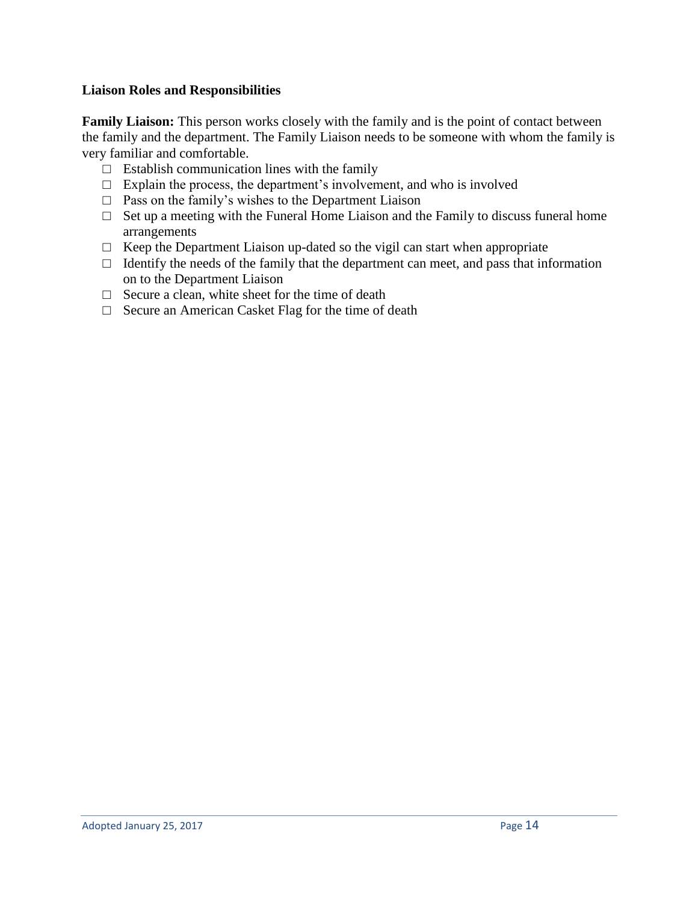#### **Liaison Roles and Responsibilities**

**Family Liaison:** This person works closely with the family and is the point of contact between the family and the department. The Family Liaison needs to be someone with whom the family is very familiar and comfortable.

- $\Box$  Establish communication lines with the family
- $\Box$  Explain the process, the department's involvement, and who is involved
- $\Box$  Pass on the family's wishes to the Department Liaison
- $\Box$  Set up a meeting with the Funeral Home Liaison and the Family to discuss funeral home arrangements
- $\Box$  Keep the Department Liaison up-dated so the vigil can start when appropriate
- $\Box$  Identify the needs of the family that the department can meet, and pass that information on to the Department Liaison
- $\Box$  Secure a clean, white sheet for the time of death
- □ Secure an American Casket Flag for the time of death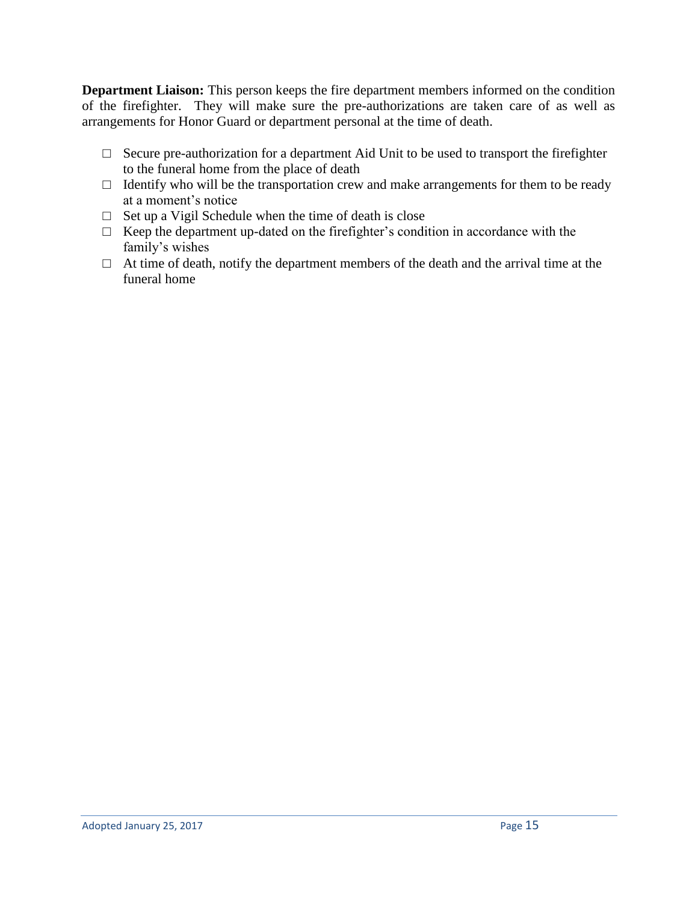**Department Liaison:** This person keeps the fire department members informed on the condition of the firefighter. They will make sure the pre-authorizations are taken care of as well as arrangements for Honor Guard or department personal at the time of death.

- $\Box$  Secure pre-authorization for a department Aid Unit to be used to transport the firefighter to the funeral home from the place of death
- $\Box$  Identify who will be the transportation crew and make arrangements for them to be ready at a moment's notice
- $\Box$  Set up a Vigil Schedule when the time of death is close
- $\Box$  Keep the department up-dated on the firefighter's condition in accordance with the family's wishes
- $\Box$  At time of death, notify the department members of the death and the arrival time at the funeral home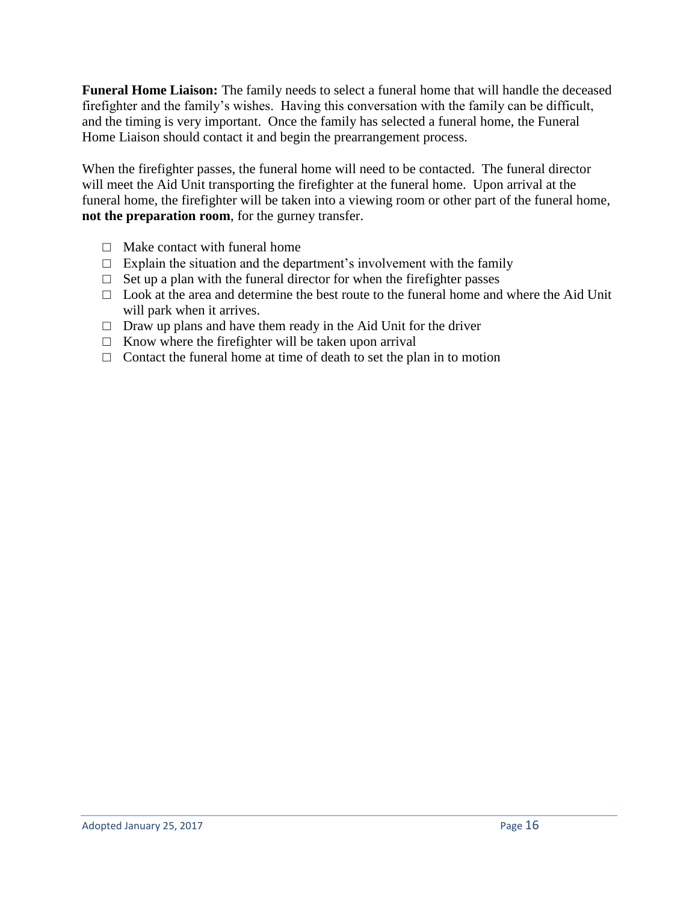**Funeral Home Liaison:** The family needs to select a funeral home that will handle the deceased firefighter and the family's wishes. Having this conversation with the family can be difficult, and the timing is very important. Once the family has selected a funeral home, the Funeral Home Liaison should contact it and begin the prearrangement process.

When the firefighter passes, the funeral home will need to be contacted. The funeral director will meet the Aid Unit transporting the firefighter at the funeral home. Upon arrival at the funeral home, the firefighter will be taken into a viewing room or other part of the funeral home, **not the preparation room**, for the gurney transfer.

- $\Box$  Make contact with funeral home
- $\Box$  Explain the situation and the department's involvement with the family
- $\Box$  Set up a plan with the funeral director for when the firefighter passes
- $\Box$  Look at the area and determine the best route to the funeral home and where the Aid Unit will park when it arrives.
- $\Box$  Draw up plans and have them ready in the Aid Unit for the driver
- $\Box$  Know where the firefighter will be taken upon arrival
- $\Box$  Contact the funeral home at time of death to set the plan in to motion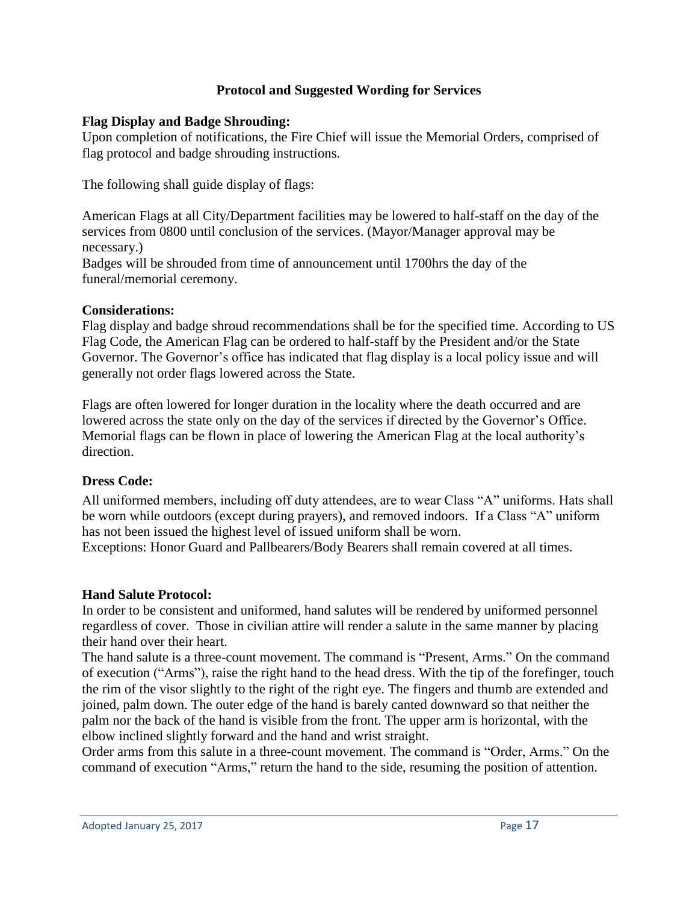#### **Protocol and Suggested Wording for Services**

## **Flag Display and Badge Shrouding:**

Upon completion of notifications, the Fire Chief will issue the Memorial Orders, comprised of flag protocol and badge shrouding instructions.

The following shall guide display of flags:

American Flags at all City/Department facilities may be lowered to half-staff on the day of the services from 0800 until conclusion of the services. (Mayor/Manager approval may be necessary.)

Badges will be shrouded from time of announcement until 1700hrs the day of the funeral/memorial ceremony.

## **Considerations:**

Flag display and badge shroud recommendations shall be for the specified time. According to US Flag Code, the American Flag can be ordered to half-staff by the President and/or the State Governor. The Governor's office has indicated that flag display is a local policy issue and will generally not order flags lowered across the State.

Flags are often lowered for longer duration in the locality where the death occurred and are lowered across the state only on the day of the services if directed by the Governor's Office. Memorial flags can be flown in place of lowering the American Flag at the local authority's direction.

# **Dress Code:**

All uniformed members, including off duty attendees, are to wear Class "A" uniforms. Hats shall be worn while outdoors (except during prayers), and removed indoors. If a Class "A" uniform has not been issued the highest level of issued uniform shall be worn.

Exceptions: Honor Guard and Pallbearers/Body Bearers shall remain covered at all times.

# **Hand Salute Protocol:**

In order to be consistent and uniformed, hand salutes will be rendered by uniformed personnel regardless of cover. Those in civilian attire will render a salute in the same manner by placing their hand over their heart.

The hand salute is a three-count movement. The command is "Present, Arms." On the command of execution ("Arms"), raise the right hand to the head dress. With the tip of the forefinger, touch the rim of the visor slightly to the right of the right eye. The fingers and thumb are extended and joined, palm down. The outer edge of the hand is barely canted downward so that neither the palm nor the back of the hand is visible from the front. The upper arm is horizontal, with the elbow inclined slightly forward and the hand and wrist straight.

Order arms from this salute in a three-count movement. The command is "Order, Arms." On the command of execution "Arms," return the hand to the side, resuming the position of attention.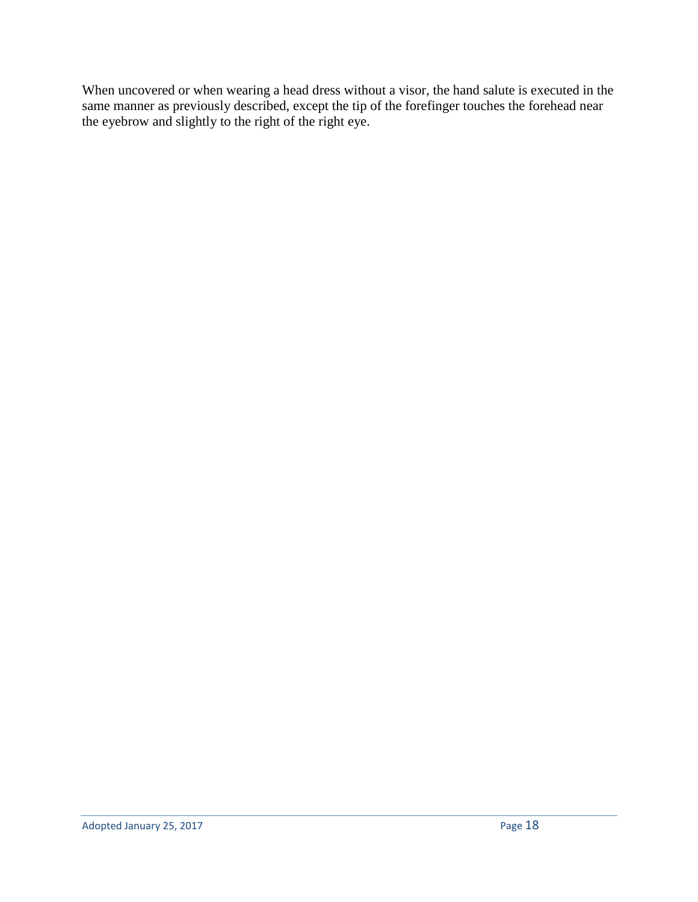When uncovered or when wearing a head dress without a visor, the hand salute is executed in the same manner as previously described, except the tip of the forefinger touches the forehead near the eyebrow and slightly to the right of the right eye.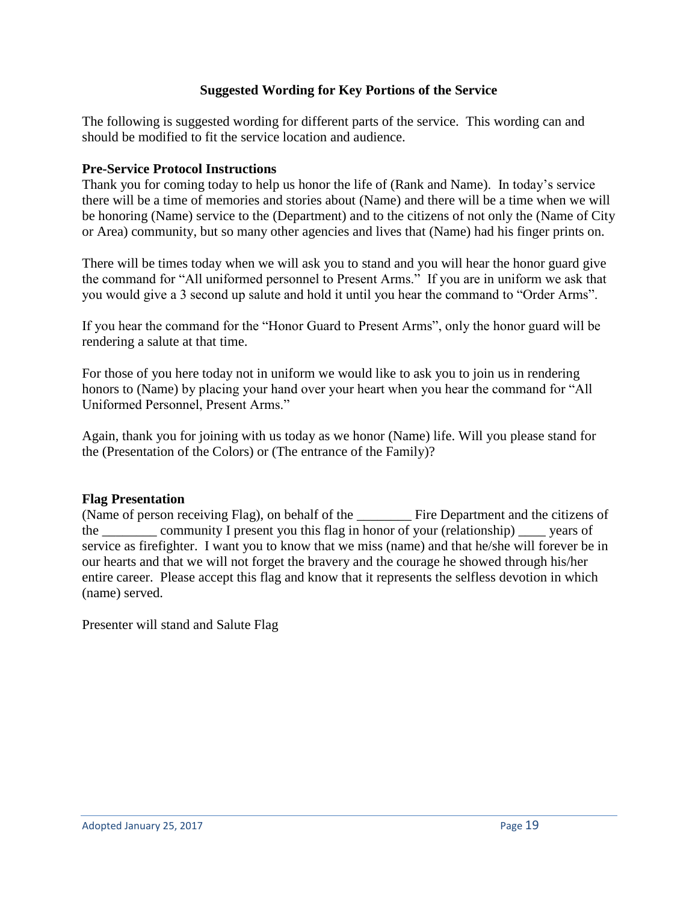## **Suggested Wording for Key Portions of the Service**

The following is suggested wording for different parts of the service. This wording can and should be modified to fit the service location and audience.

#### **Pre-Service Protocol Instructions**

Thank you for coming today to help us honor the life of (Rank and Name). In today's service there will be a time of memories and stories about (Name) and there will be a time when we will be honoring (Name) service to the (Department) and to the citizens of not only the (Name of City or Area) community, but so many other agencies and lives that (Name) had his finger prints on.

There will be times today when we will ask you to stand and you will hear the honor guard give the command for "All uniformed personnel to Present Arms." If you are in uniform we ask that you would give a 3 second up salute and hold it until you hear the command to "Order Arms".

If you hear the command for the "Honor Guard to Present Arms", only the honor guard will be rendering a salute at that time.

For those of you here today not in uniform we would like to ask you to join us in rendering honors to (Name) by placing your hand over your heart when you hear the command for "All Uniformed Personnel, Present Arms."

Again, thank you for joining with us today as we honor (Name) life. Will you please stand for the (Presentation of the Colors) or (The entrance of the Family)?

#### **Flag Presentation**

(Name of person receiving Flag), on behalf of the Fire Department and the citizens of the \_\_\_\_\_\_\_\_ community I present you this flag in honor of your (relationship) \_\_\_\_ years of service as firefighter. I want you to know that we miss (name) and that he/she will forever be in our hearts and that we will not forget the bravery and the courage he showed through his/her entire career. Please accept this flag and know that it represents the selfless devotion in which (name) served.

Presenter will stand and Salute Flag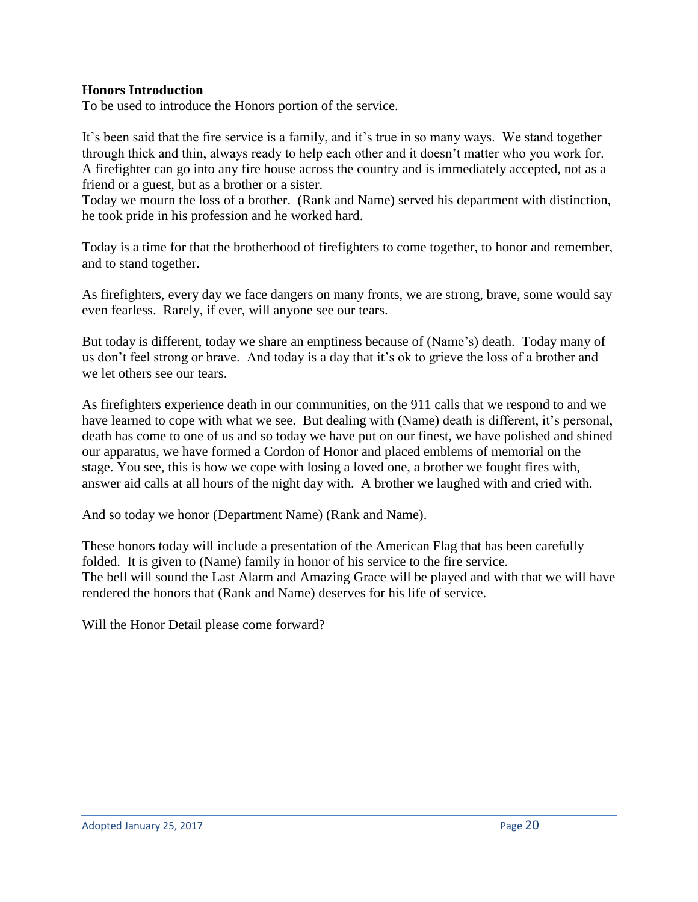#### **Honors Introduction**

To be used to introduce the Honors portion of the service.

It's been said that the fire service is a family, and it's true in so many ways. We stand together through thick and thin, always ready to help each other and it doesn't matter who you work for. A firefighter can go into any fire house across the country and is immediately accepted, not as a friend or a guest, but as a brother or a sister.

Today we mourn the loss of a brother. (Rank and Name) served his department with distinction, he took pride in his profession and he worked hard.

Today is a time for that the brotherhood of firefighters to come together, to honor and remember, and to stand together.

As firefighters, every day we face dangers on many fronts, we are strong, brave, some would say even fearless. Rarely, if ever, will anyone see our tears.

But today is different, today we share an emptiness because of (Name's) death. Today many of us don't feel strong or brave. And today is a day that it's ok to grieve the loss of a brother and we let others see our tears.

As firefighters experience death in our communities, on the 911 calls that we respond to and we have learned to cope with what we see. But dealing with (Name) death is different, it's personal, death has come to one of us and so today we have put on our finest, we have polished and shined our apparatus, we have formed a Cordon of Honor and placed emblems of memorial on the stage. You see, this is how we cope with losing a loved one, a brother we fought fires with, answer aid calls at all hours of the night day with. A brother we laughed with and cried with.

And so today we honor (Department Name) (Rank and Name).

These honors today will include a presentation of the American Flag that has been carefully folded. It is given to (Name) family in honor of his service to the fire service. The bell will sound the Last Alarm and Amazing Grace will be played and with that we will have rendered the honors that (Rank and Name) deserves for his life of service.

Will the Honor Detail please come forward?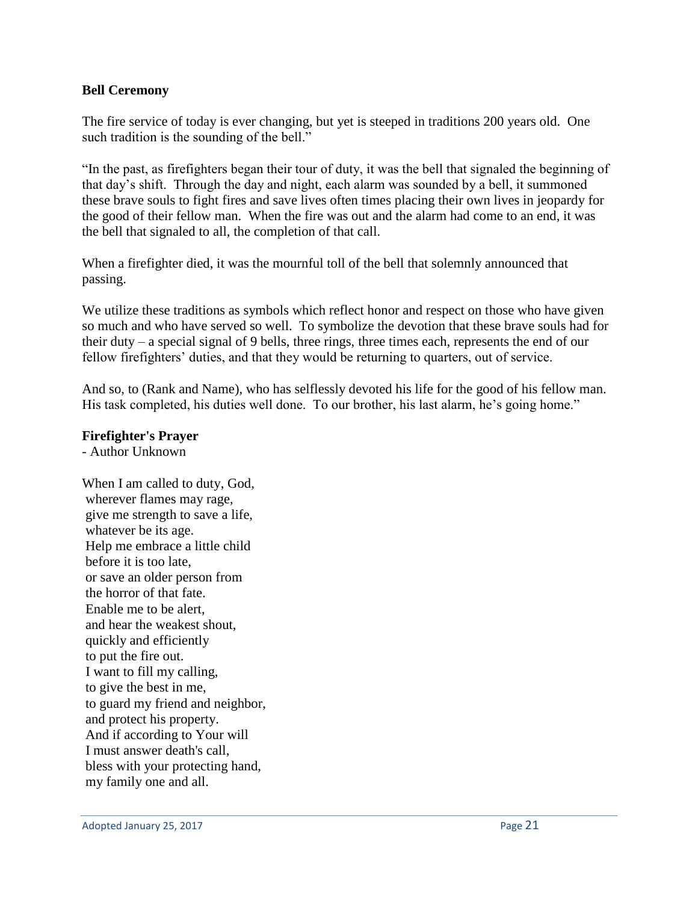#### **Bell Ceremony**

The fire service of today is ever changing, but yet is steeped in traditions 200 years old. One such tradition is the sounding of the bell."

"In the past, as firefighters began their tour of duty, it was the bell that signaled the beginning of that day's shift. Through the day and night, each alarm was sounded by a bell, it summoned these brave souls to fight fires and save lives often times placing their own lives in jeopardy for the good of their fellow man. When the fire was out and the alarm had come to an end, it was the bell that signaled to all, the completion of that call.

When a firefighter died, it was the mournful toll of the bell that solemnly announced that passing.

We utilize these traditions as symbols which reflect honor and respect on those who have given so much and who have served so well. To symbolize the devotion that these brave souls had for their duty – a special signal of 9 bells, three rings, three times each, represents the end of our fellow firefighters' duties, and that they would be returning to quarters, out of service.

And so, to (Rank and Name), who has selflessly devoted his life for the good of his fellow man. His task completed, his duties well done. To our brother, his last alarm, he's going home."

#### **Firefighter's Prayer**

- Author Unknown

When I am called to duty, God, wherever flames may rage, give me strength to save a life, whatever be its age. Help me embrace a little child before it is too late, or save an older person from the horror of that fate. Enable me to be alert, and hear the weakest shout, quickly and efficiently to put the fire out. I want to fill my calling, to give the best in me, to guard my friend and neighbor, and protect his property. And if according to Your will I must answer death's call, bless with your protecting hand, my family one and all.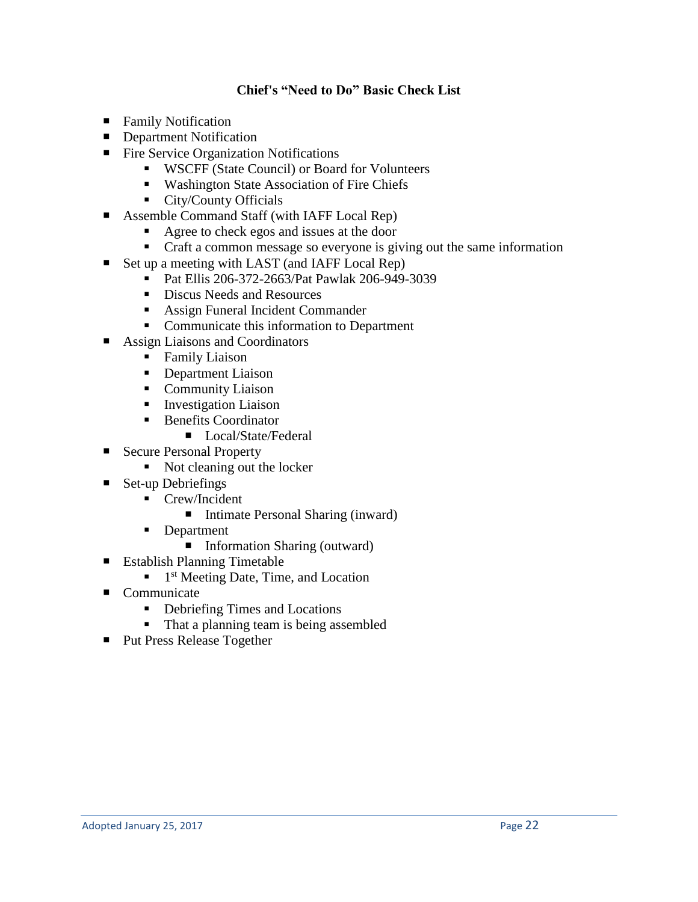## **Chief's "Need to Do" Basic Check List**

- **Family Notification**
- **Department Notification**
- Fire Service Organization Notifications
	- WSCFF (State Council) or Board for Volunteers
	- Washington State Association of Fire Chiefs
	- City/County Officials
- Assemble Command Staff (with IAFF Local Rep)
	- Agree to check egos and issues at the door
	- Craft a common message so everyone is giving out the same information
- Set up a meeting with LAST (and IAFF Local Rep)
	- Pat Ellis 206-372-2663/Pat Pawlak 206-949-3039
	- Discus Needs and Resources
	- Assign Funeral Incident Commander
	- Communicate this information to Department
- Assign Liaisons and Coordinators
	- Family Liaison
	- Department Liaison
	- Community Liaison
	- **EXECUTE:** Investigation Liaison
	- Benefits Coordinator
		- Local/State/Federal
- Secure Personal Property
	- Not cleaning out the locker
- $\blacksquare$  Set-up Debriefings
	- Crew/Incident
		- Intimate Personal Sharing (inward)
	- Department
		- Information Sharing (outward)
- Establish Planning Timetable
	- $\blacksquare$  1<sup>st</sup> Meeting Date, Time, and Location
- Communicate
	- Debriefing Times and Locations
	- That a planning team is being assembled
- Put Press Release Together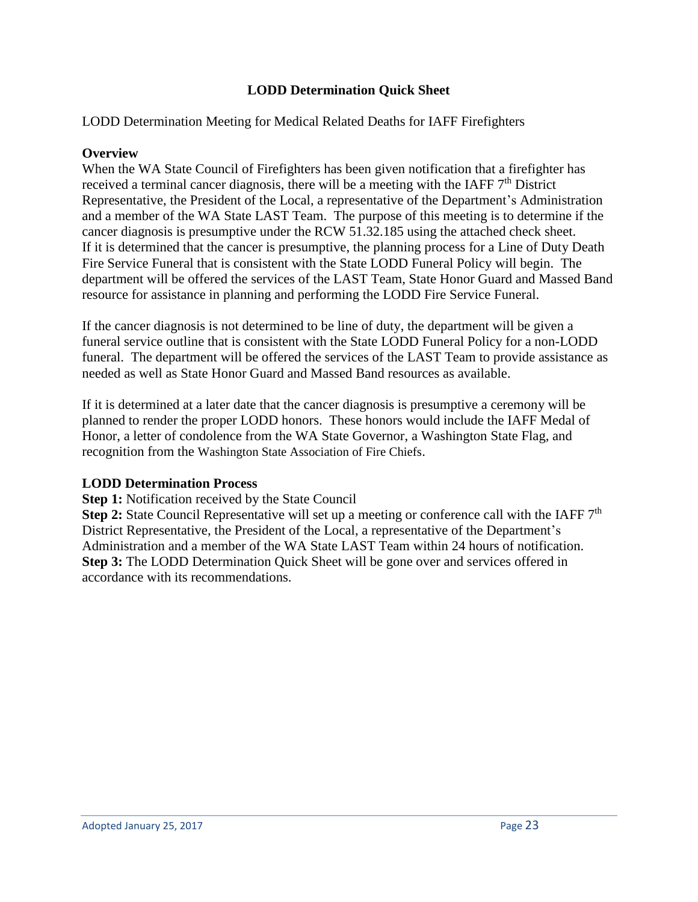## **LODD Determination Quick Sheet**

## LODD Determination Meeting for Medical Related Deaths for IAFF Firefighters

#### **Overview**

When the WA State Council of Firefighters has been given notification that a firefighter has received a terminal cancer diagnosis, there will be a meeting with the IAFF  $7<sup>th</sup>$  District Representative, the President of the Local, a representative of the Department's Administration and a member of the WA State LAST Team. The purpose of this meeting is to determine if the cancer diagnosis is presumptive under the RCW 51.32.185 using the attached check sheet. If it is determined that the cancer is presumptive, the planning process for a Line of Duty Death Fire Service Funeral that is consistent with the State LODD Funeral Policy will begin. The department will be offered the services of the LAST Team, State Honor Guard and Massed Band resource for assistance in planning and performing the LODD Fire Service Funeral.

If the cancer diagnosis is not determined to be line of duty, the department will be given a funeral service outline that is consistent with the State LODD Funeral Policy for a non-LODD funeral. The department will be offered the services of the LAST Team to provide assistance as needed as well as State Honor Guard and Massed Band resources as available.

If it is determined at a later date that the cancer diagnosis is presumptive a ceremony will be planned to render the proper LODD honors. These honors would include the IAFF Medal of Honor, a letter of condolence from the WA State Governor, a Washington State Flag, and recognition from the Washington State Association of Fire Chiefs.

#### **LODD Determination Process**

**Step 1:** Notification received by the State Council

**Step 2:** State Council Representative will set up a meeting or conference call with the IAFF 7<sup>th</sup> District Representative, the President of the Local, a representative of the Department's Administration and a member of the WA State LAST Team within 24 hours of notification. **Step 3:** The LODD Determination Quick Sheet will be gone over and services offered in accordance with its recommendations.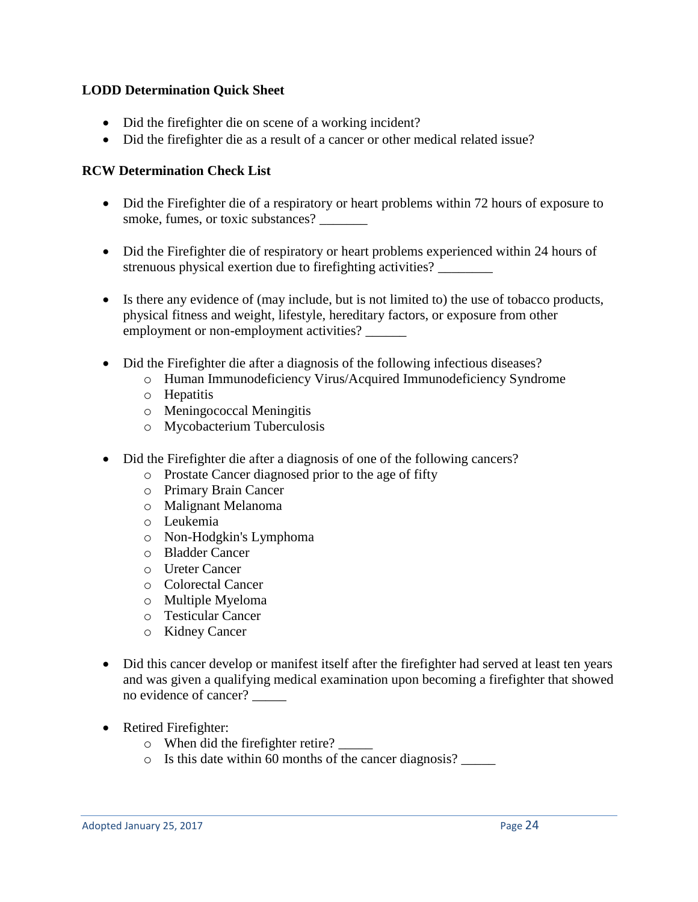## **LODD Determination Quick Sheet**

- Did the firefighter die on scene of a working incident?
- Did the firefighter die as a result of a cancer or other medical related issue?

## **RCW Determination Check List**

- Did the Firefighter die of a respiratory or heart problems within 72 hours of exposure to smoke, fumes, or toxic substances?
- Did the Firefighter die of respiratory or heart problems experienced within 24 hours of strenuous physical exertion due to firefighting activities? \_\_\_\_\_\_\_\_
- Is there any evidence of (may include, but is not limited to) the use of tobacco products, physical fitness and weight, lifestyle, hereditary factors, or exposure from other employment or non-employment activities? \_\_\_\_\_\_
- Did the Firefighter die after a diagnosis of the following infectious diseases?
	- o Human Immunodeficiency Virus/Acquired Immunodeficiency Syndrome
	- o Hepatitis
	- o Meningococcal Meningitis
	- o Mycobacterium Tuberculosis
- Did the Firefighter die after a diagnosis of one of the following cancers?
	- o Prostate Cancer diagnosed prior to the age of fifty
	- o Primary Brain Cancer
	- o Malignant Melanoma
	- o Leukemia
	- o Non-Hodgkin's Lymphoma
	- o Bladder Cancer
	- o Ureter Cancer
	- o Colorectal Cancer
	- o Multiple Myeloma
	- o Testicular Cancer
	- o Kidney Cancer
- Did this cancer develop or manifest itself after the firefighter had served at least ten years and was given a qualifying medical examination upon becoming a firefighter that showed no evidence of cancer? \_\_\_\_\_
- Retired Firefighter:
	- o When did the firefighter retire? \_\_\_\_\_
	- o Is this date within 60 months of the cancer diagnosis? \_\_\_\_\_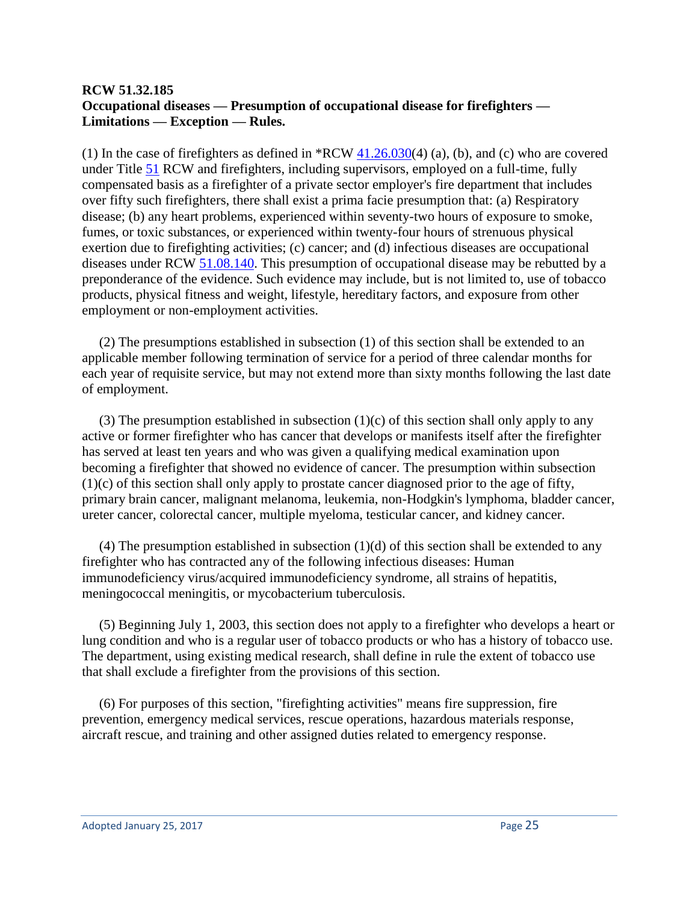## **RCW 51.32.185 Occupational diseases — Presumption of occupational disease for firefighters — Limitations — Exception — Rules.**

(1) In the case of firefighters as defined in  $RCW$   $41.26.030(4)$  (a), (b), and (c) who are covered under Title [51](http://apps.leg.wa.gov/rcw/default.aspx?cite=51) RCW and firefighters, including supervisors, employed on a full-time, fully compensated basis as a firefighter of a private sector employer's fire department that includes over fifty such firefighters, there shall exist a prima facie presumption that: (a) Respiratory disease; (b) any heart problems, experienced within seventy-two hours of exposure to smoke, fumes, or toxic substances, or experienced within twenty-four hours of strenuous physical exertion due to firefighting activities; (c) cancer; and (d) infectious diseases are occupational diseases under RCW [51.08.140.](http://apps.leg.wa.gov/rcw/default.aspx?cite=51.08.140) This presumption of occupational disease may be rebutted by a preponderance of the evidence. Such evidence may include, but is not limited to, use of tobacco products, physical fitness and weight, lifestyle, hereditary factors, and exposure from other employment or non-employment activities.

 (2) The presumptions established in subsection (1) of this section shall be extended to an applicable member following termination of service for a period of three calendar months for each year of requisite service, but may not extend more than sixty months following the last date of employment.

(3) The presumption established in subsection  $(1)(c)$  of this section shall only apply to any active or former firefighter who has cancer that develops or manifests itself after the firefighter has served at least ten years and who was given a qualifying medical examination upon becoming a firefighter that showed no evidence of cancer. The presumption within subsection (1)(c) of this section shall only apply to prostate cancer diagnosed prior to the age of fifty, primary brain cancer, malignant melanoma, leukemia, non-Hodgkin's lymphoma, bladder cancer, ureter cancer, colorectal cancer, multiple myeloma, testicular cancer, and kidney cancer.

(4) The presumption established in subsection  $(1)(d)$  of this section shall be extended to any firefighter who has contracted any of the following infectious diseases: Human immunodeficiency virus/acquired immunodeficiency syndrome, all strains of hepatitis, meningococcal meningitis, or mycobacterium tuberculosis.

 (5) Beginning July 1, 2003, this section does not apply to a firefighter who develops a heart or lung condition and who is a regular user of tobacco products or who has a history of tobacco use. The department, using existing medical research, shall define in rule the extent of tobacco use that shall exclude a firefighter from the provisions of this section.

 (6) For purposes of this section, "firefighting activities" means fire suppression, fire prevention, emergency medical services, rescue operations, hazardous materials response, aircraft rescue, and training and other assigned duties related to emergency response.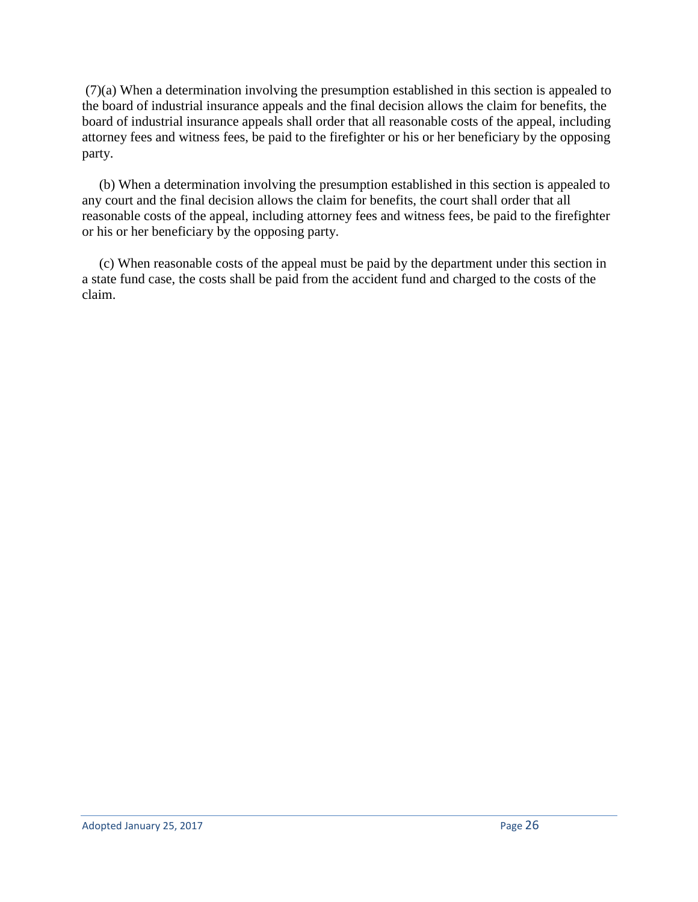(7)(a) When a determination involving the presumption established in this section is appealed to the board of industrial insurance appeals and the final decision allows the claim for benefits, the board of industrial insurance appeals shall order that all reasonable costs of the appeal, including attorney fees and witness fees, be paid to the firefighter or his or her beneficiary by the opposing party.

 (b) When a determination involving the presumption established in this section is appealed to any court and the final decision allows the claim for benefits, the court shall order that all reasonable costs of the appeal, including attorney fees and witness fees, be paid to the firefighter or his or her beneficiary by the opposing party.

 (c) When reasonable costs of the appeal must be paid by the department under this section in a state fund case, the costs shall be paid from the accident fund and charged to the costs of the claim.